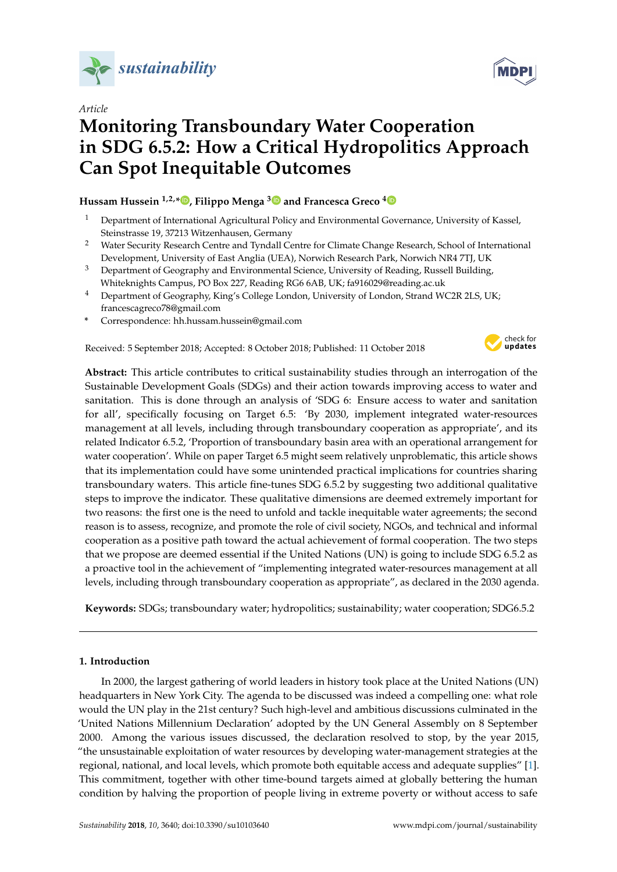

*Article*

# **Monitoring Transboundary Water Cooperation in SDG 6.5.2: How a Critical Hydropolitics Approach Can Spot Inequitable Outcomes**

**Hussam Hussein 1,2,[\\*](https://orcid.org/0000-0002-1238-1715) , Filippo Menga [3](https://orcid.org/0000-0001-5712-7748) and Francesca Greco [4](https://orcid.org/0000-0002-1696-3472)**

- <sup>1</sup> Department of International Agricultural Policy and Environmental Governance, University of Kassel, Steinstrasse 19, 37213 Witzenhausen, Germany
- <sup>2</sup> Water Security Research Centre and Tyndall Centre for Climate Change Research, School of International Development, University of East Anglia (UEA), Norwich Research Park, Norwich NR4 7TJ, UK
- <sup>3</sup> Department of Geography and Environmental Science, University of Reading, Russell Building, Whiteknights Campus, PO Box 227, Reading RG6 6AB, UK; fa916029@reading.ac.uk
- <sup>4</sup> Department of Geography, King's College London, University of London, Strand WC2R 2LS, UK; francescagreco78@gmail.com
- **\*** Correspondence: hh.hussam.hussein@gmail.com

Received: 5 September 2018; Accepted: 8 October 2018; Published: 11 October 2018



**Abstract:** This article contributes to critical sustainability studies through an interrogation of the Sustainable Development Goals (SDGs) and their action towards improving access to water and sanitation. This is done through an analysis of 'SDG 6: Ensure access to water and sanitation for all', specifically focusing on Target 6.5: 'By 2030, implement integrated water-resources management at all levels, including through transboundary cooperation as appropriate', and its related Indicator 6.5.2, 'Proportion of transboundary basin area with an operational arrangement for water cooperation'. While on paper Target 6.5 might seem relatively unproblematic, this article shows that its implementation could have some unintended practical implications for countries sharing transboundary waters. This article fine-tunes SDG 6.5.2 by suggesting two additional qualitative steps to improve the indicator. These qualitative dimensions are deemed extremely important for two reasons: the first one is the need to unfold and tackle inequitable water agreements; the second reason is to assess, recognize, and promote the role of civil society, NGOs, and technical and informal cooperation as a positive path toward the actual achievement of formal cooperation. The two steps that we propose are deemed essential if the United Nations (UN) is going to include SDG 6.5.2 as a proactive tool in the achievement of "implementing integrated water-resources management at all levels, including through transboundary cooperation as appropriate", as declared in the 2030 agenda.

**Keywords:** SDGs; transboundary water; hydropolitics; sustainability; water cooperation; SDG6.5.2

## **1. Introduction**

In 2000, the largest gathering of world leaders in history took place at the United Nations (UN) headquarters in New York City. The agenda to be discussed was indeed a compelling one: what role would the UN play in the 21st century? Such high-level and ambitious discussions culminated in the 'United Nations Millennium Declaration' adopted by the UN General Assembly on 8 September 2000. Among the various issues discussed, the declaration resolved to stop, by the year 2015, "the unsustainable exploitation of water resources by developing water-management strategies at the regional, national, and local levels, which promote both equitable access and adequate supplies" [\[1\]](#page-6-0). This commitment, together with other time-bound targets aimed at globally bettering the human condition by halving the proportion of people living in extreme poverty or without access to safe

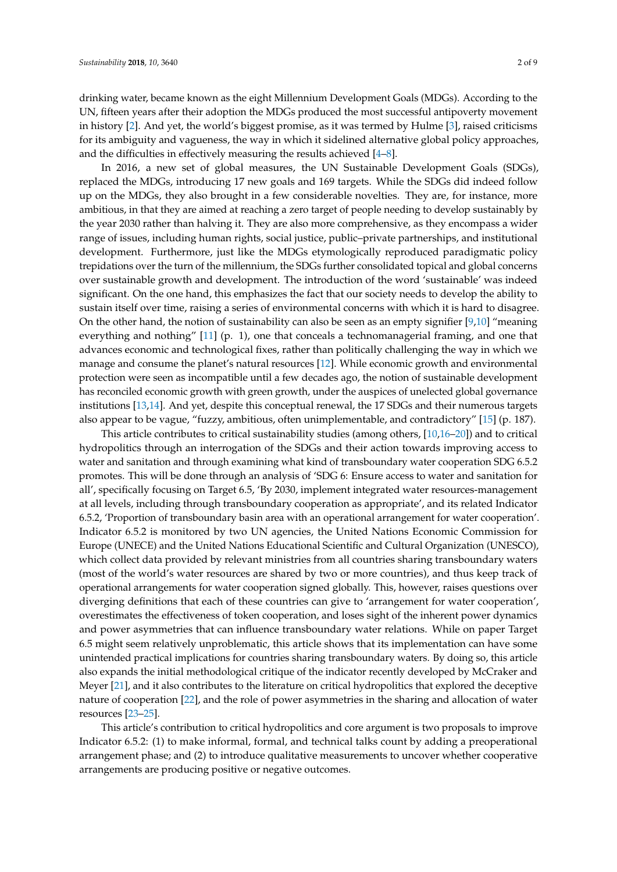drinking water, became known as the eight Millennium Development Goals (MDGs). According to the UN, fifteen years after their adoption the MDGs produced the most successful antipoverty movement in history [\[2\]](#page-6-1). And yet, the world's biggest promise, as it was termed by Hulme [\[3\]](#page-6-2), raised criticisms for its ambiguity and vagueness, the way in which it sidelined alternative global policy approaches, and the difficulties in effectively measuring the results achieved [\[4–](#page-6-3)[8\]](#page-6-4).

In 2016, a new set of global measures, the UN Sustainable Development Goals (SDGs), replaced the MDGs, introducing 17 new goals and 169 targets. While the SDGs did indeed follow up on the MDGs, they also brought in a few considerable novelties. They are, for instance, more ambitious, in that they are aimed at reaching a zero target of people needing to develop sustainably by the year 2030 rather than halving it. They are also more comprehensive, as they encompass a wider range of issues, including human rights, social justice, public–private partnerships, and institutional development. Furthermore, just like the MDGs etymologically reproduced paradigmatic policy trepidations over the turn of the millennium, the SDGs further consolidated topical and global concerns over sustainable growth and development. The introduction of the word 'sustainable' was indeed significant. On the one hand, this emphasizes the fact that our society needs to develop the ability to sustain itself over time, raising a series of environmental concerns with which it is hard to disagree. On the other hand, the notion of sustainability can also be seen as an empty signifier [\[9,](#page-6-5)[10\]](#page-6-6) "meaning everything and nothing" [\[11\]](#page-6-7) (p. 1), one that conceals a technomanagerial framing, and one that advances economic and technological fixes, rather than politically challenging the way in which we manage and consume the planet's natural resources [\[12\]](#page-6-8). While economic growth and environmental protection were seen as incompatible until a few decades ago, the notion of sustainable development has reconciled economic growth with green growth, under the auspices of unelected global governance institutions [\[13,](#page-7-0)[14\]](#page-7-1). And yet, despite this conceptual renewal, the 17 SDGs and their numerous targets also appear to be vague, "fuzzy, ambitious, often unimplementable, and contradictory" [\[15\]](#page-7-2) (p. 187).

This article contributes to critical sustainability studies (among others, [\[10](#page-6-6)[,16](#page-7-3)[–20\]](#page-7-4)) and to critical hydropolitics through an interrogation of the SDGs and their action towards improving access to water and sanitation and through examining what kind of transboundary water cooperation SDG 6.5.2 promotes. This will be done through an analysis of 'SDG 6: Ensure access to water and sanitation for all', specifically focusing on Target 6.5, 'By 2030, implement integrated water resources-management at all levels, including through transboundary cooperation as appropriate', and its related Indicator 6.5.2, 'Proportion of transboundary basin area with an operational arrangement for water cooperation'. Indicator 6.5.2 is monitored by two UN agencies, the United Nations Economic Commission for Europe (UNECE) and the United Nations Educational Scientific and Cultural Organization (UNESCO), which collect data provided by relevant ministries from all countries sharing transboundary waters (most of the world's water resources are shared by two or more countries), and thus keep track of operational arrangements for water cooperation signed globally. This, however, raises questions over diverging definitions that each of these countries can give to 'arrangement for water cooperation', overestimates the effectiveness of token cooperation, and loses sight of the inherent power dynamics and power asymmetries that can influence transboundary water relations. While on paper Target 6.5 might seem relatively unproblematic, this article shows that its implementation can have some unintended practical implications for countries sharing transboundary waters. By doing so, this article also expands the initial methodological critique of the indicator recently developed by McCraker and Meyer [\[21\]](#page-7-5), and it also contributes to the literature on critical hydropolitics that explored the deceptive nature of cooperation [\[22\]](#page-7-6), and the role of power asymmetries in the sharing and allocation of water resources [\[23–](#page-7-7)[25\]](#page-7-8).

This article's contribution to critical hydropolitics and core argument is two proposals to improve Indicator 6.5.2: (1) to make informal, formal, and technical talks count by adding a preoperational arrangement phase; and (2) to introduce qualitative measurements to uncover whether cooperative arrangements are producing positive or negative outcomes.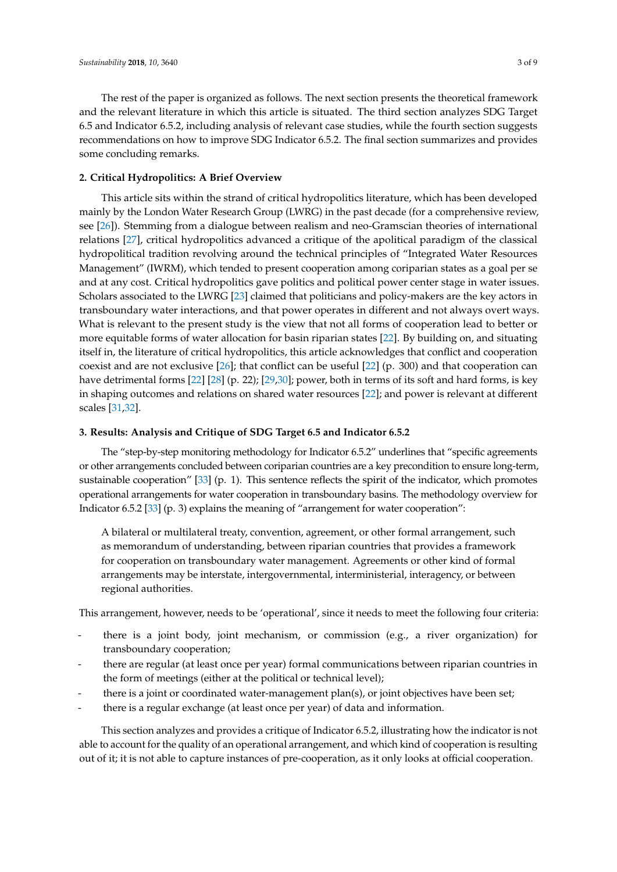The rest of the paper is organized as follows. The next section presents the theoretical framework and the relevant literature in which this article is situated. The third section analyzes SDG Target 6.5 and Indicator 6.5.2, including analysis of relevant case studies, while the fourth section suggests recommendations on how to improve SDG Indicator 6.5.2. The final section summarizes and provides some concluding remarks.

## <span id="page-2-0"></span>**2. Critical Hydropolitics: A Brief Overview**

This article sits within the strand of critical hydropolitics literature, which has been developed mainly by the London Water Research Group (LWRG) in the past decade (for a comprehensive review, see [\[26\]](#page-7-9)). Stemming from a dialogue between realism and neo-Gramscian theories of international relations [\[27\]](#page-7-10), critical hydropolitics advanced a critique of the apolitical paradigm of the classical hydropolitical tradition revolving around the technical principles of "Integrated Water Resources Management" (IWRM), which tended to present cooperation among coriparian states as a goal per se and at any cost. Critical hydropolitics gave politics and political power center stage in water issues. Scholars associated to the LWRG [\[23\]](#page-7-7) claimed that politicians and policy-makers are the key actors in transboundary water interactions, and that power operates in different and not always overt ways. What is relevant to the present study is the view that not all forms of cooperation lead to better or more equitable forms of water allocation for basin riparian states [\[22\]](#page-7-6). By building on, and situating itself in, the literature of critical hydropolitics, this article acknowledges that conflict and cooperation coexist and are not exclusive  $[26]$ ; that conflict can be useful  $[22]$  (p. 300) and that cooperation can have detrimental forms [\[22\]](#page-7-6) [\[28\]](#page-7-11) (p. 22); [\[29](#page-7-12)[,30\]](#page-7-13); power, both in terms of its soft and hard forms, is key in shaping outcomes and relations on shared water resources [\[22\]](#page-7-6); and power is relevant at different scales [\[31](#page-7-14)[,32\]](#page-7-15).

#### **3. Results: Analysis and Critique of SDG Target 6.5 and Indicator 6.5.2**

The "step-by-step monitoring methodology for Indicator 6.5.2" underlines that "specific agreements or other arrangements concluded between coriparian countries are a key precondition to ensure long-term, sustainable cooperation" [\[33\]](#page-7-16) (p. 1). This sentence reflects the spirit of the indicator, which promotes operational arrangements for water cooperation in transboundary basins. The methodology overview for Indicator 6.5.2 [\[33\]](#page-7-16) (p. 3) explains the meaning of "arrangement for water cooperation":

A bilateral or multilateral treaty, convention, agreement, or other formal arrangement, such as memorandum of understanding, between riparian countries that provides a framework for cooperation on transboundary water management. Agreements or other kind of formal arrangements may be interstate, intergovernmental, interministerial, interagency, or between regional authorities.

This arrangement, however, needs to be 'operational', since it needs to meet the following four criteria:

- there is a joint body, joint mechanism, or commission (e.g., a river organization) for transboundary cooperation;
- there are regular (at least once per year) formal communications between riparian countries in the form of meetings (either at the political or technical level);
- there is a joint or coordinated water-management plan(s), or joint objectives have been set;
- there is a regular exchange (at least once per year) of data and information.

This section analyzes and provides a critique of Indicator 6.5.2, illustrating how the indicator is not able to account for the quality of an operational arrangement, and which kind of cooperation is resulting out of it; it is not able to capture instances of pre-cooperation, as it only looks at official cooperation.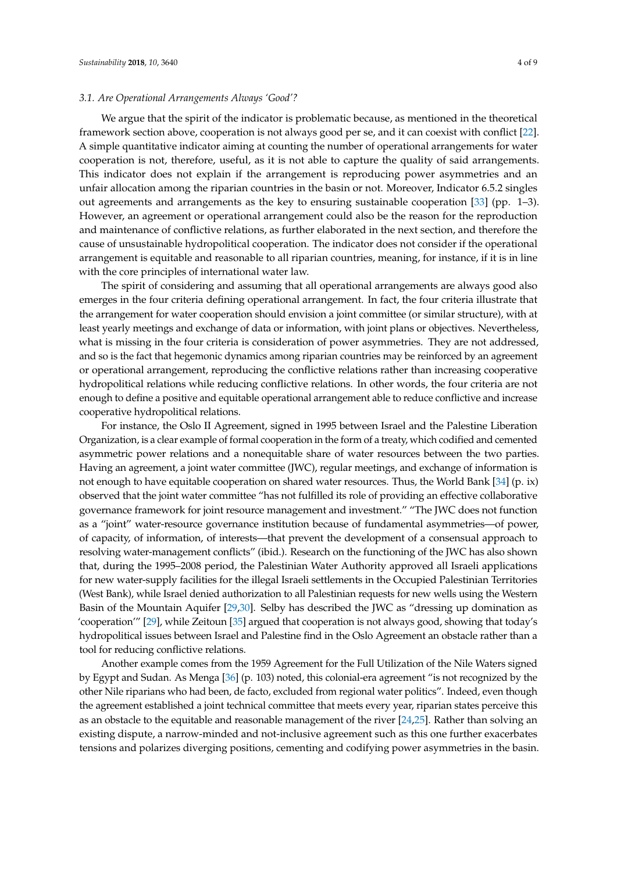## *3.1. Are Operational Arrangements Always 'Good'?*

We argue that the spirit of the indicator is problematic because, as mentioned in the theoretical framework section above, cooperation is not always good per se, and it can coexist with conflict [\[22\]](#page-7-6). A simple quantitative indicator aiming at counting the number of operational arrangements for water cooperation is not, therefore, useful, as it is not able to capture the quality of said arrangements. This indicator does not explain if the arrangement is reproducing power asymmetries and an unfair allocation among the riparian countries in the basin or not. Moreover, Indicator 6.5.2 singles out agreements and arrangements as the key to ensuring sustainable cooperation [\[33\]](#page-7-16) (pp. 1–3). However, an agreement or operational arrangement could also be the reason for the reproduction and maintenance of conflictive relations, as further elaborated in the next section, and therefore the cause of unsustainable hydropolitical cooperation. The indicator does not consider if the operational arrangement is equitable and reasonable to all riparian countries, meaning, for instance, if it is in line with the core principles of international water law.

The spirit of considering and assuming that all operational arrangements are always good also emerges in the four criteria defining operational arrangement. In fact, the four criteria illustrate that the arrangement for water cooperation should envision a joint committee (or similar structure), with at least yearly meetings and exchange of data or information, with joint plans or objectives. Nevertheless, what is missing in the four criteria is consideration of power asymmetries. They are not addressed, and so is the fact that hegemonic dynamics among riparian countries may be reinforced by an agreement or operational arrangement, reproducing the conflictive relations rather than increasing cooperative hydropolitical relations while reducing conflictive relations. In other words, the four criteria are not enough to define a positive and equitable operational arrangement able to reduce conflictive and increase cooperative hydropolitical relations.

For instance, the Oslo II Agreement, signed in 1995 between Israel and the Palestine Liberation Organization, is a clear example of formal cooperation in the form of a treaty, which codified and cemented asymmetric power relations and a nonequitable share of water resources between the two parties. Having an agreement, a joint water committee (JWC), regular meetings, and exchange of information is not enough to have equitable cooperation on shared water resources. Thus, the World Bank [\[34\]](#page-7-17) (p. ix) observed that the joint water committee "has not fulfilled its role of providing an effective collaborative governance framework for joint resource management and investment." "The JWC does not function as a "joint" water-resource governance institution because of fundamental asymmetries—of power, of capacity, of information, of interests—that prevent the development of a consensual approach to resolving water-management conflicts" (ibid.). Research on the functioning of the JWC has also shown that, during the 1995–2008 period, the Palestinian Water Authority approved all Israeli applications for new water-supply facilities for the illegal Israeli settlements in the Occupied Palestinian Territories (West Bank), while Israel denied authorization to all Palestinian requests for new wells using the Western Basin of the Mountain Aquifer [\[29](#page-7-12)[,30\]](#page-7-13). Selby has described the JWC as "dressing up domination as 'cooperation'" [\[29\]](#page-7-12), while Zeitoun [\[35\]](#page-7-18) argued that cooperation is not always good, showing that today's hydropolitical issues between Israel and Palestine find in the Oslo Agreement an obstacle rather than a tool for reducing conflictive relations.

Another example comes from the 1959 Agreement for the Full Utilization of the Nile Waters signed by Egypt and Sudan. As Menga [\[36\]](#page-7-19) (p. 103) noted, this colonial-era agreement "is not recognized by the other Nile riparians who had been, de facto, excluded from regional water politics". Indeed, even though the agreement established a joint technical committee that meets every year, riparian states perceive this as an obstacle to the equitable and reasonable management of the river [\[24](#page-7-20)[,25\]](#page-7-8). Rather than solving an existing dispute, a narrow-minded and not-inclusive agreement such as this one further exacerbates tensions and polarizes diverging positions, cementing and codifying power asymmetries in the basin.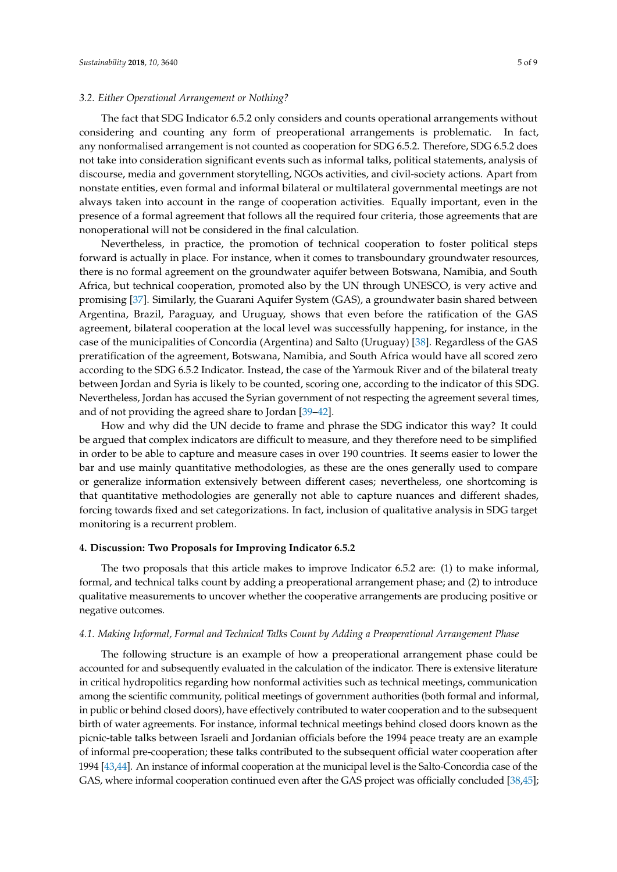## *3.2. Either Operational Arrangement or Nothing?*

The fact that SDG Indicator 6.5.2 only considers and counts operational arrangements without considering and counting any form of preoperational arrangements is problematic. In fact, any nonformalised arrangement is not counted as cooperation for SDG 6.5.2. Therefore, SDG 6.5.2 does not take into consideration significant events such as informal talks, political statements, analysis of discourse, media and government storytelling, NGOs activities, and civil-society actions. Apart from nonstate entities, even formal and informal bilateral or multilateral governmental meetings are not always taken into account in the range of cooperation activities. Equally important, even in the presence of a formal agreement that follows all the required four criteria, those agreements that are nonoperational will not be considered in the final calculation.

Nevertheless, in practice, the promotion of technical cooperation to foster political steps forward is actually in place. For instance, when it comes to transboundary groundwater resources, there is no formal agreement on the groundwater aquifer between Botswana, Namibia, and South Africa, but technical cooperation, promoted also by the UN through UNESCO, is very active and promising [\[37\]](#page-8-0). Similarly, the Guarani Aquifer System (GAS), a groundwater basin shared between Argentina, Brazil, Paraguay, and Uruguay, shows that even before the ratification of the GAS agreement, bilateral cooperation at the local level was successfully happening, for instance, in the case of the municipalities of Concordia (Argentina) and Salto (Uruguay) [\[38\]](#page-8-1). Regardless of the GAS preratification of the agreement, Botswana, Namibia, and South Africa would have all scored zero according to the SDG 6.5.2 Indicator. Instead, the case of the Yarmouk River and of the bilateral treaty between Jordan and Syria is likely to be counted, scoring one, according to the indicator of this SDG. Nevertheless, Jordan has accused the Syrian government of not respecting the agreement several times, and of not providing the agreed share to Jordan [\[39–](#page-8-2)[42\]](#page-8-3).

How and why did the UN decide to frame and phrase the SDG indicator this way? It could be argued that complex indicators are difficult to measure, and they therefore need to be simplified in order to be able to capture and measure cases in over 190 countries. It seems easier to lower the bar and use mainly quantitative methodologies, as these are the ones generally used to compare or generalize information extensively between different cases; nevertheless, one shortcoming is that quantitative methodologies are generally not able to capture nuances and different shades, forcing towards fixed and set categorizations. In fact, inclusion of qualitative analysis in SDG target monitoring is a recurrent problem.

## **4. Discussion: Two Proposals for Improving Indicator 6.5.2**

The two proposals that this article makes to improve Indicator 6.5.2 are: (1) to make informal, formal, and technical talks count by adding a preoperational arrangement phase; and (2) to introduce qualitative measurements to uncover whether the cooperative arrangements are producing positive or negative outcomes.

## *4.1. Making Informal, Formal and Technical Talks Count by Adding a Preoperational Arrangement Phase*

The following structure is an example of how a preoperational arrangement phase could be accounted for and subsequently evaluated in the calculation of the indicator. There is extensive literature in critical hydropolitics regarding how nonformal activities such as technical meetings, communication among the scientific community, political meetings of government authorities (both formal and informal, in public or behind closed doors), have effectively contributed to water cooperation and to the subsequent birth of water agreements. For instance, informal technical meetings behind closed doors known as the picnic-table talks between Israeli and Jordanian officials before the 1994 peace treaty are an example of informal pre-cooperation; these talks contributed to the subsequent official water cooperation after 1994 [\[43,](#page-8-4)[44\]](#page-8-5). An instance of informal cooperation at the municipal level is the Salto-Concordia case of the GAS, where informal cooperation continued even after the GAS project was officially concluded [\[38,](#page-8-1)[45\]](#page-8-6);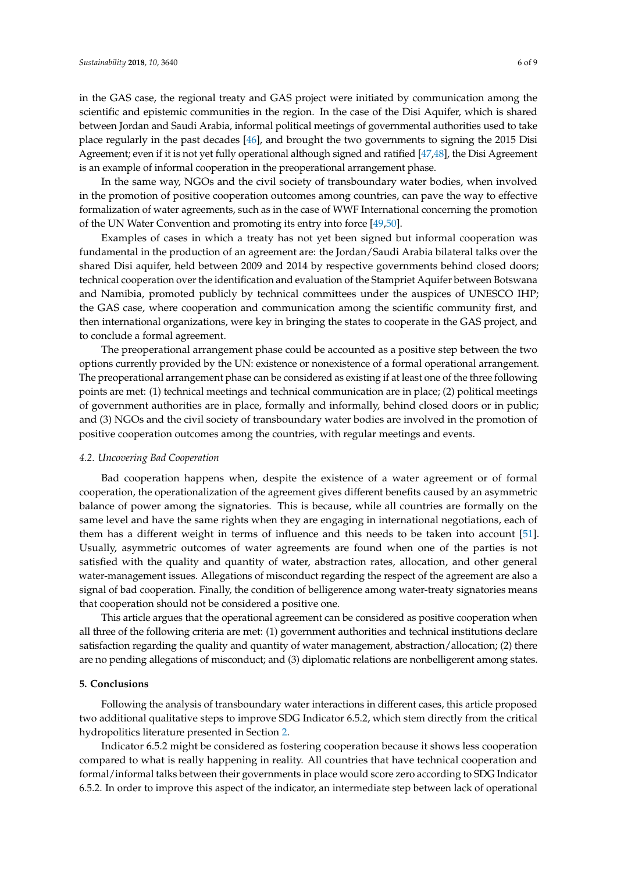in the GAS case, the regional treaty and GAS project were initiated by communication among the scientific and epistemic communities in the region. In the case of the Disi Aquifer, which is shared between Jordan and Saudi Arabia, informal political meetings of governmental authorities used to take place regularly in the past decades [\[46\]](#page-8-7), and brought the two governments to signing the 2015 Disi Agreement; even if it is not yet fully operational although signed and ratified [\[47](#page-8-8)[,48\]](#page-8-9), the Disi Agreement is an example of informal cooperation in the preoperational arrangement phase.

In the same way, NGOs and the civil society of transboundary water bodies, when involved in the promotion of positive cooperation outcomes among countries, can pave the way to effective formalization of water agreements, such as in the case of WWF International concerning the promotion of the UN Water Convention and promoting its entry into force [\[49,](#page-8-10)[50\]](#page-8-11).

Examples of cases in which a treaty has not yet been signed but informal cooperation was fundamental in the production of an agreement are: the Jordan/Saudi Arabia bilateral talks over the shared Disi aquifer, held between 2009 and 2014 by respective governments behind closed doors; technical cooperation over the identification and evaluation of the Stampriet Aquifer between Botswana and Namibia, promoted publicly by technical committees under the auspices of UNESCO IHP; the GAS case, where cooperation and communication among the scientific community first, and then international organizations, were key in bringing the states to cooperate in the GAS project, and to conclude a formal agreement.

The preoperational arrangement phase could be accounted as a positive step between the two options currently provided by the UN: existence or nonexistence of a formal operational arrangement. The preoperational arrangement phase can be considered as existing if at least one of the three following points are met: (1) technical meetings and technical communication are in place; (2) political meetings of government authorities are in place, formally and informally, behind closed doors or in public; and (3) NGOs and the civil society of transboundary water bodies are involved in the promotion of positive cooperation outcomes among the countries, with regular meetings and events.

## *4.2. Uncovering Bad Cooperation*

Bad cooperation happens when, despite the existence of a water agreement or of formal cooperation, the operationalization of the agreement gives different benefits caused by an asymmetric balance of power among the signatories. This is because, while all countries are formally on the same level and have the same rights when they are engaging in international negotiations, each of them has a different weight in terms of influence and this needs to be taken into account [\[51\]](#page-8-12). Usually, asymmetric outcomes of water agreements are found when one of the parties is not satisfied with the quality and quantity of water, abstraction rates, allocation, and other general water-management issues. Allegations of misconduct regarding the respect of the agreement are also a signal of bad cooperation. Finally, the condition of belligerence among water-treaty signatories means that cooperation should not be considered a positive one.

This article argues that the operational agreement can be considered as positive cooperation when all three of the following criteria are met: (1) government authorities and technical institutions declare satisfaction regarding the quality and quantity of water management, abstraction/allocation; (2) there are no pending allegations of misconduct; and (3) diplomatic relations are nonbelligerent among states.

## **5. Conclusions**

Following the analysis of transboundary water interactions in different cases, this article proposed two additional qualitative steps to improve SDG Indicator 6.5.2, which stem directly from the critical hydropolitics literature presented in Section [2.](#page-2-0)

Indicator 6.5.2 might be considered as fostering cooperation because it shows less cooperation compared to what is really happening in reality. All countries that have technical cooperation and formal/informal talks between their governments in place would score zero according to SDG Indicator 6.5.2. In order to improve this aspect of the indicator, an intermediate step between lack of operational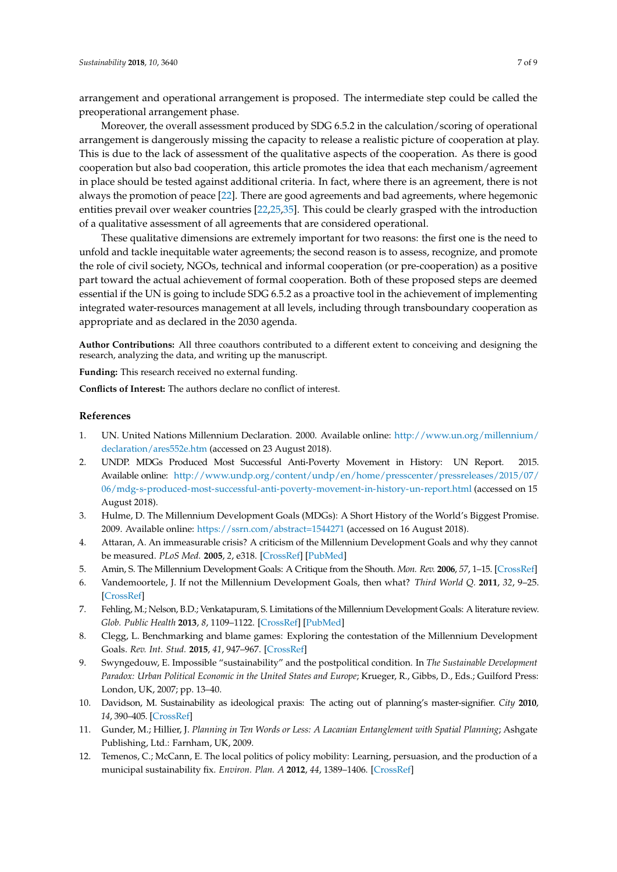arrangement and operational arrangement is proposed. The intermediate step could be called the preoperational arrangement phase.

Moreover, the overall assessment produced by SDG 6.5.2 in the calculation/scoring of operational arrangement is dangerously missing the capacity to release a realistic picture of cooperation at play. This is due to the lack of assessment of the qualitative aspects of the cooperation. As there is good cooperation but also bad cooperation, this article promotes the idea that each mechanism/agreement in place should be tested against additional criteria. In fact, where there is an agreement, there is not always the promotion of peace [\[22\]](#page-7-6). There are good agreements and bad agreements, where hegemonic entities prevail over weaker countries [\[22](#page-7-6)[,25](#page-7-8)[,35\]](#page-7-18). This could be clearly grasped with the introduction of a qualitative assessment of all agreements that are considered operational.

These qualitative dimensions are extremely important for two reasons: the first one is the need to unfold and tackle inequitable water agreements; the second reason is to assess, recognize, and promote the role of civil society, NGOs, technical and informal cooperation (or pre-cooperation) as a positive part toward the actual achievement of formal cooperation. Both of these proposed steps are deemed essential if the UN is going to include SDG 6.5.2 as a proactive tool in the achievement of implementing integrated water-resources management at all levels, including through transboundary cooperation as appropriate and as declared in the 2030 agenda.

**Author Contributions:** All three coauthors contributed to a different extent to conceiving and designing the research, analyzing the data, and writing up the manuscript.

**Funding:** This research received no external funding.

**Conflicts of Interest:** The authors declare no conflict of interest.

## **References**

- <span id="page-6-0"></span>1. UN. United Nations Millennium Declaration. 2000. Available online: [http://www.un.org/millennium/](http://www.un.org/millennium/declaration/ares552e.htm) [declaration/ares552e.htm](http://www.un.org/millennium/declaration/ares552e.htm) (accessed on 23 August 2018).
- <span id="page-6-1"></span>2. UNDP. MDGs Produced Most Successful Anti-Poverty Movement in History: UN Report. 2015. Available online: [http://www.undp.org/content/undp/en/home/presscenter/pressreleases/2015/07/](http://www.undp.org/content/undp/en/home/presscenter/pressreleases/2015/07/06/mdg-s-produced-most-successful-anti-poverty-movement-in-history-un-report.html) [06/mdg-s-produced-most-successful-anti-poverty-movement-in-history-un-report.html](http://www.undp.org/content/undp/en/home/presscenter/pressreleases/2015/07/06/mdg-s-produced-most-successful-anti-poverty-movement-in-history-un-report.html) (accessed on 15 August 2018).
- <span id="page-6-2"></span>3. Hulme, D. The Millennium Development Goals (MDGs): A Short History of the World's Biggest Promise. 2009. Available online: <https://ssrn.com/abstract=1544271> (accessed on 16 August 2018).
- <span id="page-6-3"></span>4. Attaran, A. An immeasurable crisis? A criticism of the Millennium Development Goals and why they cannot be measured. *PLoS Med.* **2005**, *2*, e318. [\[CrossRef\]](http://dx.doi.org/10.1371/journal.pmed.0020318) [\[PubMed\]](http://www.ncbi.nlm.nih.gov/pubmed/16156696)
- 5. Amin, S. The Millennium Development Goals: A Critique from the Shouth. *Mon. Rev.* **2006**, *57*, 1–15. [\[CrossRef\]](http://dx.doi.org/10.14452/MR-057-10-2006-03_1)
- 6. Vandemoortele, J. If not the Millennium Development Goals, then what? *Third World Q.* **2011**, *32*, 9–25. [\[CrossRef\]](http://dx.doi.org/10.1080/01436597.2011.543809)
- 7. Fehling, M.; Nelson, B.D.; Venkatapuram, S. Limitations of the Millennium Development Goals: A literature review. *Glob. Public Health* **2013**, *8*, 1109–1122. [\[CrossRef\]](http://dx.doi.org/10.1080/17441692.2013.845676) [\[PubMed\]](http://www.ncbi.nlm.nih.gov/pubmed/24266508)
- <span id="page-6-4"></span>8. Clegg, L. Benchmarking and blame games: Exploring the contestation of the Millennium Development Goals. *Rev. Int. Stud.* **2015**, *41*, 947–967. [\[CrossRef\]](http://dx.doi.org/10.1017/S0260210515000406)
- <span id="page-6-5"></span>9. Swyngedouw, E. Impossible "sustainability" and the postpolitical condition. In *The Sustainable Development Paradox: Urban Political Economic in the United States and Europe; Krueger, R., Gibbs, D., Eds.; Guilford Press:* London, UK, 2007; pp. 13–40.
- <span id="page-6-6"></span>10. Davidson, M. Sustainability as ideological praxis: The acting out of planning's master-signifier. *City* **2010**, *14*, 390–405. [\[CrossRef\]](http://dx.doi.org/10.1080/13604813.2010.492603)
- <span id="page-6-7"></span>11. Gunder, M.; Hillier, J. *Planning in Ten Words or Less: A Lacanian Entanglement with Spatial Planning*; Ashgate Publishing, Ltd.: Farnham, UK, 2009.
- <span id="page-6-8"></span>12. Temenos, C.; McCann, E. The local politics of policy mobility: Learning, persuasion, and the production of a municipal sustainability fix. *Environ. Plan. A* **2012**, *44*, 1389–1406. [\[CrossRef\]](http://dx.doi.org/10.1068/a44314)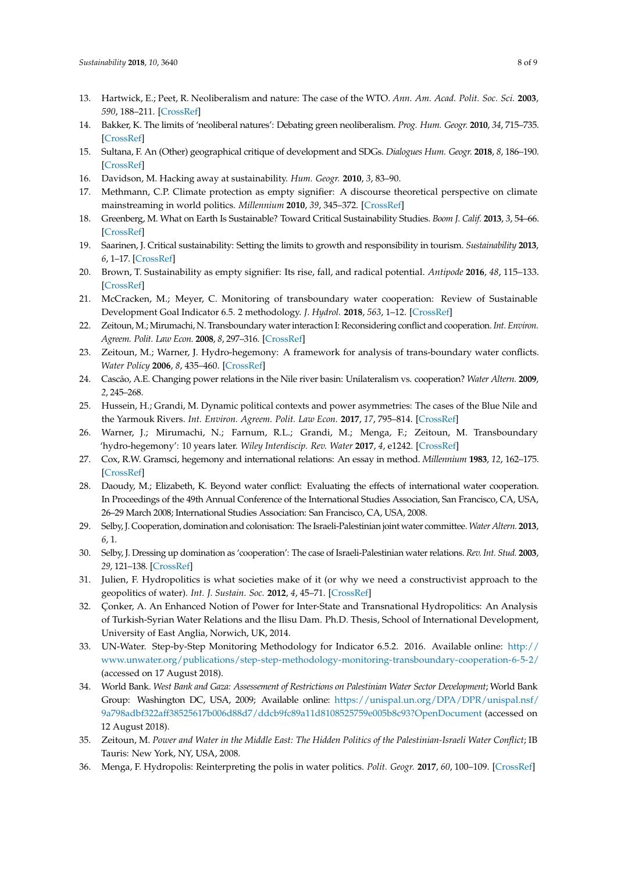- <span id="page-7-0"></span>13. Hartwick, E.; Peet, R. Neoliberalism and nature: The case of the WTO. *Ann. Am. Acad. Polit. Soc. Sci.* **2003**, *590*, 188–211. [\[CrossRef\]](http://dx.doi.org/10.1177/0002716203256721)
- <span id="page-7-1"></span>14. Bakker, K. The limits of 'neoliberal natures': Debating green neoliberalism. *Prog. Hum. Geogr.* **2010**, *34*, 715–735. [\[CrossRef\]](http://dx.doi.org/10.1177/0309132510376849)
- <span id="page-7-2"></span>15. Sultana, F. An (Other) geographical critique of development and SDGs. *Dialogues Hum. Geogr.* **2018**, *8*, 186–190. [\[CrossRef\]](http://dx.doi.org/10.1177/2043820618780788)
- <span id="page-7-3"></span>16. Davidson, M. Hacking away at sustainability. *Hum. Geogr.* **2010**, *3*, 83–90.
- 17. Methmann, C.P. Climate protection as empty signifier: A discourse theoretical perspective on climate mainstreaming in world politics. *Millennium* **2010**, *39*, 345–372. [\[CrossRef\]](http://dx.doi.org/10.1177/0305829810383606)
- 18. Greenberg, M. What on Earth Is Sustainable? Toward Critical Sustainability Studies. *Boom J. Calif.* **2013**, *3*, 54–66. [\[CrossRef\]](http://dx.doi.org/10.1525/boom.2013.3.4.54)
- 19. Saarinen, J. Critical sustainability: Setting the limits to growth and responsibility in tourism. *Sustainability* **2013**, *6*, 1–17. [\[CrossRef\]](http://dx.doi.org/10.3390/su6010001)
- <span id="page-7-4"></span>20. Brown, T. Sustainability as empty signifier: Its rise, fall, and radical potential. *Antipode* **2016**, *48*, 115–133. [\[CrossRef\]](http://dx.doi.org/10.1111/anti.12164)
- <span id="page-7-5"></span>21. McCracken, M.; Meyer, C. Monitoring of transboundary water cooperation: Review of Sustainable Development Goal Indicator 6.5. 2 methodology. *J. Hydrol.* **2018**, *563*, 1–12. [\[CrossRef\]](http://dx.doi.org/10.1016/j.jhydrol.2018.05.013)
- <span id="page-7-6"></span>22. Zeitoun, M.; Mirumachi, N. Transboundary water interaction I: Reconsidering conflict and cooperation. *Int. Environ. Agreem. Polit. Law Econ.* **2008**, *8*, 297–316. [\[CrossRef\]](http://dx.doi.org/10.1007/s10784-008-9083-5)
- <span id="page-7-7"></span>23. Zeitoun, M.; Warner, J. Hydro-hegemony: A framework for analysis of trans-boundary water conflicts. *Water Policy* **2006**, *8*, 435–460. [\[CrossRef\]](http://dx.doi.org/10.2166/wp.2006.054)
- <span id="page-7-20"></span>24. Cascão, A.E. Changing power relations in the Nile river basin: Unilateralism vs. cooperation? *Water Altern.* **2009**, *2*, 245–268.
- <span id="page-7-8"></span>25. Hussein, H.; Grandi, M. Dynamic political contexts and power asymmetries: The cases of the Blue Nile and the Yarmouk Rivers. *Int. Environ. Agreem. Polit. Law Econ.* **2017**, *17*, 795–814. [\[CrossRef\]](http://dx.doi.org/10.1007/s10784-017-9364-y)
- <span id="page-7-9"></span>26. Warner, J.; Mirumachi, N.; Farnum, R.L.; Grandi, M.; Menga, F.; Zeitoun, M. Transboundary 'hydro-hegemony': 10 years later. *Wiley Interdiscip. Rev. Water* **2017**, *4*, e1242. [\[CrossRef\]](http://dx.doi.org/10.1002/wat2.1242)
- <span id="page-7-10"></span>27. Cox, R.W. Gramsci, hegemony and international relations: An essay in method. *Millennium* **1983**, *12*, 162–175. [\[CrossRef\]](http://dx.doi.org/10.1177/03058298830120020701)
- <span id="page-7-11"></span>28. Daoudy, M.; Elizabeth, K. Beyond water conflict: Evaluating the effects of international water cooperation. In Proceedings of the 49th Annual Conference of the International Studies Association, San Francisco, CA, USA, 26–29 March 2008; International Studies Association: San Francisco, CA, USA, 2008.
- <span id="page-7-12"></span>29. Selby, J. Cooperation, domination and colonisation: The Israeli-Palestinian joint water committee. *Water Altern.* **2013**, *6*, 1.
- <span id="page-7-13"></span>30. Selby, J. Dressing up domination as 'cooperation': The case of Israeli-Palestinian water relations. *Rev. Int. Stud.* **2003**, *29*, 121–138. [\[CrossRef\]](http://dx.doi.org/10.1017/S026021050300007X)
- <span id="page-7-14"></span>31. Julien, F. Hydropolitics is what societies make of it (or why we need a constructivist approach to the geopolitics of water). *Int. J. Sustain. Soc.* **2012**, *4*, 45–71. [\[CrossRef\]](http://dx.doi.org/10.1504/IJSSOC.2012.044665)
- <span id="page-7-15"></span>32. Çonker, A. An Enhanced Notion of Power for Inter-State and Transnational Hydropolitics: An Analysis of Turkish-Syrian Water Relations and the Ilisu Dam. Ph.D. Thesis, School of International Development, University of East Anglia, Norwich, UK, 2014.
- <span id="page-7-16"></span>33. UN-Water. Step-by-Step Monitoring Methodology for Indicator 6.5.2. 2016. Available online: [http://](http://www.unwater.org/publications/step-step-methodology-monitoring-transboundary-cooperation-6-5-2/) [www.unwater.org/publications/step-step-methodology-monitoring-transboundary-cooperation-6-5-2/](http://www.unwater.org/publications/step-step-methodology-monitoring-transboundary-cooperation-6-5-2/) (accessed on 17 August 2018).
- <span id="page-7-17"></span>34. World Bank. *West Bank and Gaza: Assessement of Restrictions on Palestinian Water Sector Development*; World Bank Group: Washington DC, USA, 2009; Available online: [https://unispal.un.org/DPA/DPR/unispal.nsf/](https://unispal.un.org/DPA/DPR/unispal.nsf/9a798adbf322aff38525617b006d88d7/ddcb9fc89a11d8108525759e005b8c93?OpenDocument) [9a798adbf322aff38525617b006d88d7/ddcb9fc89a11d8108525759e005b8c93?OpenDocument](https://unispal.un.org/DPA/DPR/unispal.nsf/9a798adbf322aff38525617b006d88d7/ddcb9fc89a11d8108525759e005b8c93?OpenDocument) (accessed on 12 August 2018).
- <span id="page-7-18"></span>35. Zeitoun, M. *Power and Water in the Middle East: The Hidden Politics of the Palestinian-Israeli Water Conflict*; IB Tauris: New York, NY, USA, 2008.
- <span id="page-7-19"></span>36. Menga, F. Hydropolis: Reinterpreting the polis in water politics. *Polit. Geogr.* **2017**, *60*, 100–109. [\[CrossRef\]](http://dx.doi.org/10.1016/j.polgeo.2017.05.002)